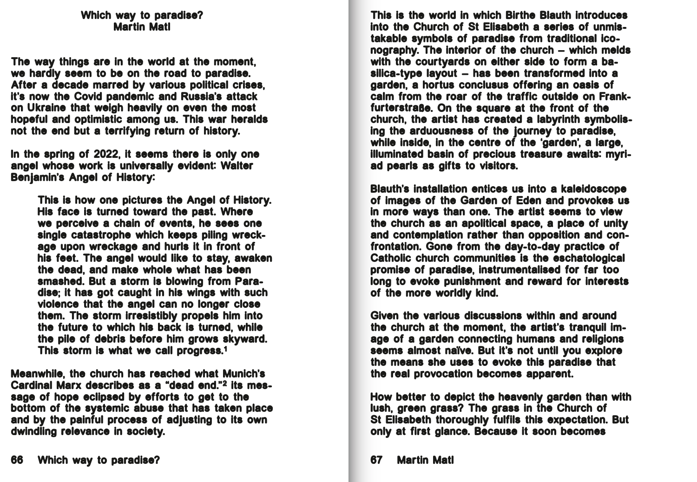This is the world in which Birthe Blauth introduces into the Church of St Elisabeth a series of unmistakable symbols of paradise from traditional iconography. The interior of the church – which melds with the courtyards on either side to form a basilica-type layout – has been transformed into a garden, a hortus conclusus offering an oasis of calm from the roar of the traffic outside on Frankfurterstra**ß**e. On the square at the front of the church, the artist has created a labyrinth symbolising the arduousness of the journey to paradise, while inside, in the centre of the 'garden', a large, illuminated basin of precious treasure awaits: myriad pearls as gifts to visitors.

Blauth's installation entices us into a kaleidoscope of images of the Garden of Eden and provokes us in more ways than one. The artist seems to view the church as an apolitical space, a place of unity and contemplation rather than opposition and confrontation. Gone from the day-to-day practice of Catholic church communities is the eschatological promise of paradise, instrumentalised for far too long to evoke punishment and reward for interests of the more worldly kind.

Given the various discussions within and around the church at the moment, the artist's tranquil image of a garden connecting humans and religions age of a gardon connocing namance and reagione the means she uses to evoke this paradise that the real provocation becomes apparent.

How better to depict the heavenly garden than with lush, green grass? The grass in the Church of St Elisabeth thoroughly fulfils this expectation. But only at first glance. Because it soon becomes

## Which way to paradise? Martin Matl

The way things are in the world at the moment, we hardly seem to be on the road to paradise. After a decade marred by various political crises, it's now the Covid pandemic and Russia's attack on Ukraine that weigh heavily on even the most hopeful and optimistic among us. This war heralds not the end but a terrifying return of history.

In the spring of 2022, it seems there is only one angel whose work is universally evident: Walter Benjamin's Angel of History:

> This is how one pictures the Angel of History. His face is turned toward the past. Where we perceive a chain of events, he sees one single catastrophe which keeps piling wreckage upon wreckage and hurls it in front of his feet. The angel would like to stay, awaken the dead, and make whole what has been smashed. But a storm is blowing from Paradise; it has got caught in his wings with such violence that the angel can no longer close them. The storm irresistibly propels him into the future to which his back is turned, while the pile of debris before him grows skyward. This storm is what we call progress.1

Meanwhile, the church has reached what Munich's Cardinal Marx describes as a "dead end."2 its message of hope eclipsed by efforts to get to the bottom of the systemic abuse that has taken place and by the painful process of adjusting to its own dwindling relevance in society.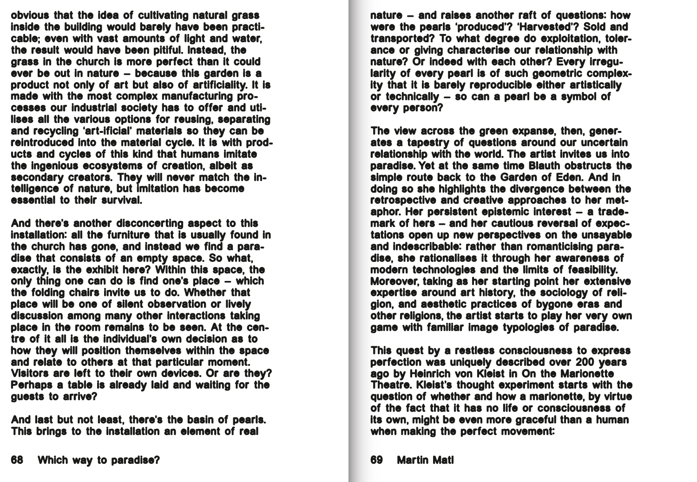nature – and raises another raft of questions: how were the pearls 'produced'? 'Harvested'? Sold and transported? To what degree do exploitation, tolerance or giving characterise our relationship with nature? Or indeed with each other? Every irregularity of every pearl is of such geometric complexity that it is barely reproducible either artistically or technically – so can a pearl be a symbol of every person?

The view across the green expanse, then, generates a tapestry of questions around our uncertain relationship with the world. The artist invites us into paradise. Yet at the same time Blauth obstructs the simple route back to the Garden of Eden. And in doing so she highlights the divergence between the retrospective and creative approaches to her metaphor. Her persistent epistemic interest – a trademark of hers – and her cautious reversal of expectations open up new perspectives on the unsayable and indescribable: rather than romanticising paradise, she rationalises it through her awareness of modern technologies and the limits of feasibility. Moreover, taking as her starting point her extensive expertise around art history, the sociology of religion, and aesthetic practices of bygone eras and other religions, the artist starts to play her very own game with familiar image typologies of paradise.

This quest by a restless consciousness to express perfection was uniquely described over 200 years ago by Heinrich von Kleist in On the Marionette Theatre. Kleist's thought experiment starts with the question of whether and how a marionette, by virtue of the fact that it has no life or consciousness of its own, might be even more graceful than a human when making the perfect movement:

obvious that the idea of cultivating natural grass inside the building would barely have been practicable; even with vast amounts of light and water, the result would have been pitiful. Instead, the grass in the church is more perfect than it could ever be out in nature – because this garden is a product not only of art but also of artificiality. It is made with the most complex manufacturing processes our industrial society has to offer and utilises all the various options for reusing, separating and recycling 'art-ificial' materials so they can be reintroduced into the material cycle. It is with products and cycles of this kind that humans imitate the ingenious ecosystems of creation, albeit as secondary creators. They will never match the intelligence of nature, but imitation has become essential to their survival.

And there's another disconcerting aspect to this installation: all the furniture that is usually found in the church has gone, and instead we find a paradise that consists of an empty space. So what, exactly, is the exhibit here? Within this space, the only thing one can do is find one's place – which the folding chairs invite us to do. Whether that place will be one of silent observation or lively discussion among many other interactions taking place in the room remains to be seen. At the centre of it all is the individual's own decision as to how they will position themselves within the space and relate to others at that particular moment. Visitors are left to their own devices. Or are they? Perhaps a table is already laid and waiting for the guests to arrive?

And last but not least, there's the basin of pearls. This brings to the installation an element of real